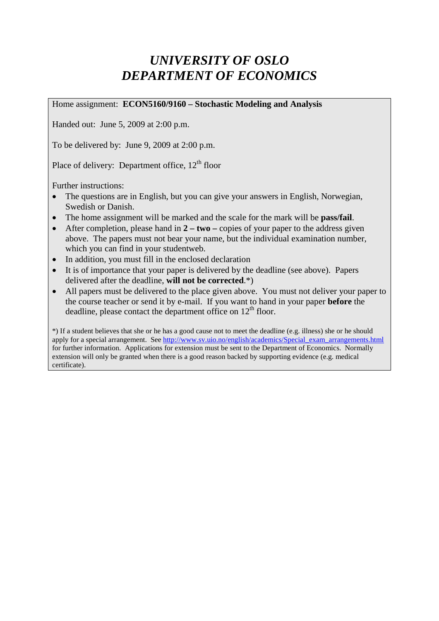## *UNIVERSITY OF OSLO DEPARTMENT OF ECONOMICS*

Home assignment: **ECON5160/9160 – Stochastic Modeling and Analysis**

Handed out: June 5, 2009 at 2:00 p.m.

To be delivered by: June 9, 2009 at 2:00 p.m.

Place of delivery: Department office,  $12<sup>th</sup>$  floor

Further instructions:

- The questions are in English, but you can give your answers in English, Norwegian, Swedish or Danish.
- The home assignment will be marked and the scale for the mark will be **pass/fail**.
- After completion, please hand in **2 two** copies of your paper to the address given above. The papers must not bear your name, but the individual examination number, which you can find in your studentweb.
- In addition, you must fill in the enclosed declaration
- It is of importance that your paper is delivered by the deadline (see above). Papers delivered after the deadline, **will not be corrected**.\*)
- All papers must be delivered to the place given above. You must not deliver your paper to the course teacher or send it by e-mail. If you want to hand in your paper **before** the deadline, please contact the department office on  $12<sup>th</sup>$  floor.

\*) If a student believes that she or he has a good cause not to meet the deadline (e.g. illness) she or he should apply for a special arrangement. See [http://www.sv.uio.no/english/academics/Special\\_exam\\_arrangements.html](http://www.sv.uio.no/english/academics/Special_exam_arrangements.html) for further information. Applications for extension must be sent to the Department of Economics. Normally extension will only be granted when there is a good reason backed by supporting evidence (e.g. medical certificate).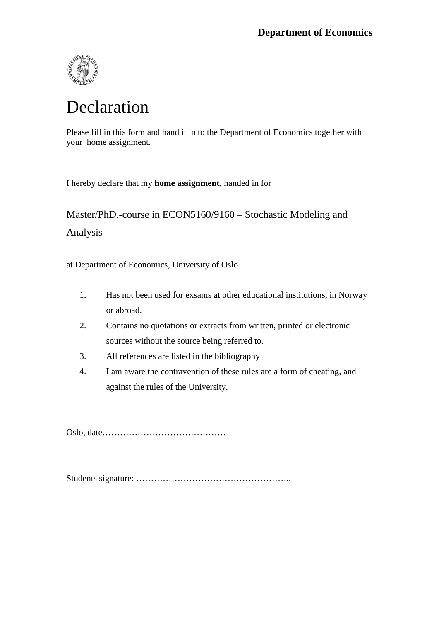

# Declaration

Please fill in this form and hand it in to the Department of Economics together with your home assignment.

\_\_\_\_\_\_\_\_\_\_\_\_\_\_\_\_\_\_\_\_\_\_\_\_\_\_\_\_\_\_\_\_\_\_\_\_\_\_\_\_\_\_\_\_\_\_\_\_\_\_\_\_\_\_\_\_\_\_\_\_\_\_\_\_\_\_\_\_\_

I hereby declare that my **home assignment**, handed in for

Master/PhD.-course in ECON5160/9160 – Stochastic Modeling and Analysis

at Department of Economics, University of Oslo

- 1. Has not been used for exsams at other educational institutions, in Norway or abroad.
- 2. Contains no quotations or extracts from written, printed or electronic sources without the source being referred to.
- 3. All references are listed in the bibliography
- 4. I am aware the contravention of these rules are a form of cheating, and against the rules of the University.

Oslo, date……………………………………

Students signature: ……………………………………………..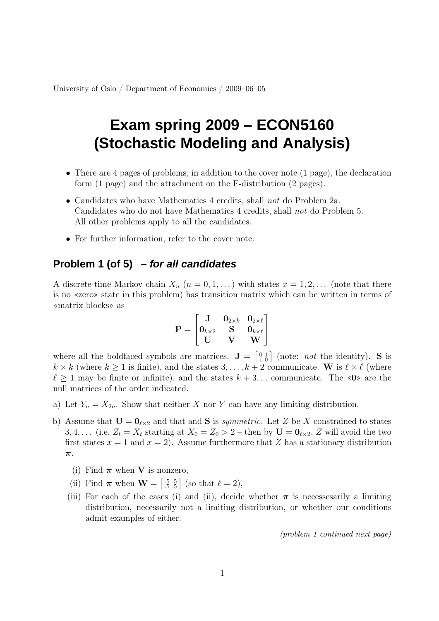University of Oslo / Department of Economics / 2009–06–05

# **Exam spring 2009 – ECON5160 (Stochastic Modeling and Analysis)**

- There are 4 pages of problems, in addition to the cover note (1 page), the declaration form (1 page) and the attachment on the F-distribution (2 pages).
- Candidates who have Mathematics 4 credits, shall not do Problem 2a. Candidates who do not have Mathematics 4 credits, shall not do Problem 5. All other problems apply to all the candidates.
- For further information, refer to the cover note.

### **Problem 1 (of 5) – for all candidates**

A discrete-time Markov chain  $X_n$   $(n = 0, 1, ...)$  with states  $x = 1, 2, ...$  (note that there is no «zero» state in this problem) has transition matrix which can be written in terms of «matrix blocks» as

$$
\mathbf{P} = \begin{bmatrix} \mathbf{J} & \mathbf{0}_{2 \times k} & \mathbf{0}_{2 \times \ell} \\ \mathbf{0}_{k \times 2} & \mathbf{S} & \mathbf{0}_{k \times \ell} \\ \mathbf{U} & \mathbf{V} & \mathbf{W} \end{bmatrix}
$$

where all the boldfaced symbols are matrices.  $\mathbf{J} = \begin{bmatrix} 0 & 1 \\ 1 & 0 \end{bmatrix}$  (note: *not* the identity). S is  $k \times k$  (where  $k \geq 1$  is finite), and the states  $3, \ldots, k+2$  communicate. W is  $\ell \times \ell$  (where  $\ell > 1$  may be finite or infinite), and the states  $k + 3, \dots$  communicate. The «0» are the null matrices of the order indicated.

- a) Let  $Y_n = X_{2n}$ . Show that neither X nor Y can have any limiting distribution.
- b) Assume that  $\mathbf{U} = \mathbf{0}_{\ell \times 2}$  and that and **S** is *symmetric*. Let Z be X constrained to states 3, 4, ... (i.e.  $Z_t = X_t$  starting at  $X_0 = Z_0 > 2$  – then by  $U = \mathbf{0}_{\ell \times 2}$ , Z will avoid the two first states  $x = 1$  and  $x = 2$ ). Assume furthermore that Z has a stationary distribution π.
	- (i) Find  $\pi$  when V is nonzero,
	- (ii) Find  $\boldsymbol{\pi}$  when  $\mathbf{W} = \begin{bmatrix} .5 & .5 \\ .5 & .5 \end{bmatrix}$  (so that  $\ell = 2$ ),
	- (iii) For each of the cases (i) and (ii), decide whether  $\pi$  is necesses arily a limiting distribution, necessarily not a limiting distribution, or whether our conditions admit examples of either.

(problem 1 continued next page)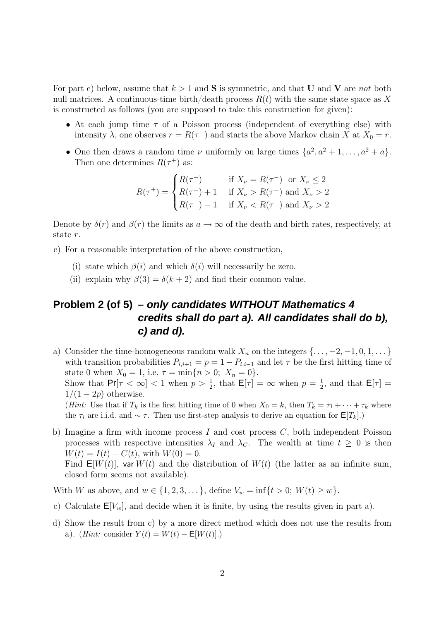For part c) below, assume that  $k > 1$  and **S** is symmetric, and that **U** and **V** are not both null matrices. A continuous-time birth/death process  $R(t)$  with the same state space as X is constructed as follows (you are supposed to take this construction for given):

- At each jump time  $\tau$  of a Poisson process (independent of everything else) with intensity  $\lambda$ , one observes  $r = R(\tau^{-})$  and starts the above Markov chain X at  $X_0 = r$ .
- One then draws a random time  $\nu$  uniformly on large times  $\{a^2, a^2 + 1, \ldots, a^2 + a\}.$ Then one determines  $R(\tau^+)$  as:

$$
R(\tau^+) = \begin{cases} R(\tau^-) & \text{if } X_{\nu} = R(\tau^-) \text{ or } X_{\nu} \le 2\\ R(\tau^-) + 1 & \text{if } X_{\nu} > R(\tau^-) \text{ and } X_{\nu} > 2\\ R(\tau^-) - 1 & \text{if } X_{\nu} < R(\tau^-) \text{ and } X_{\nu} > 2 \end{cases}
$$

Denote by  $\delta(r)$  and  $\beta(r)$  the limits as  $a \to \infty$  of the death and birth rates, respectively, at state r.

- c) For a reasonable interpretation of the above construction,
	- (i) state which  $\beta(i)$  and which  $\delta(i)$  will necessarily be zero.
	- (ii) explain why  $\beta(3) = \delta(k+2)$  and find their common value.

### **Problem 2 (of 5) – only candidates WITHOUT Mathematics 4 credits shall do part a). All candidates shall do b), c) and d).**

a) Consider the time-homogeneous random walk  $X_n$  on the integers  $\{\ldots, -2, -1, 0, 1, \ldots\}$ with transition probabilities  $P_{i,i+1} = p = 1 - P_{i,i-1}$  and let  $\tau$  be the first hitting time of state 0 when  $X_0 = 1$ , i.e.  $\tau = \min\{n > 0; X_n = 0\}.$ Show that  $\Pr[\tau < \infty] < 1$  when  $p > \frac{1}{2}$ , that  $\mathsf{E}[\tau] = \infty$  when  $p = \frac{1}{2}$  $\frac{1}{2}$ , and that  $\mathsf{E}[\tau] =$  $1/(1-2p)$  otherwise. (Hint: Use that if  $T_k$  is the first hitting time of 0 when  $X_0 = k$ , then  $T_k = \tau_1 + \cdots + \tau_k$  where

the  $\tau_i$  are i.i.d. and ~  $\tau$ . Then use first-step analysis to derive an equation for  $\mathsf{E}[T_k]$ .)

b) Imagine a firm with income process I and cost process  $C$ , both independent Poisson processes with respective intensities  $\lambda_I$  and  $\lambda_C$ . The wealth at time  $t \geq 0$  is then  $W(t) = I(t) - C(t)$ , with  $W(0) = 0$ . Find  $E[W(t)]$ , var  $W(t)$  and the distribution of  $W(t)$  (the latter as an infinite sum, closed form seems not available).

With W as above, and  $w \in \{1, 2, 3, ...\}$ , define  $V_w = \inf\{t > 0; W(t) \ge w\}$ .

- c) Calculate  $E[V_w]$ , and decide when it is finite, by using the results given in part a).
- d) Show the result from c) by a more direct method which does not use the results from a). (Hint: consider  $Y(t) = W(t) - \mathsf{E}[W(t)].$ )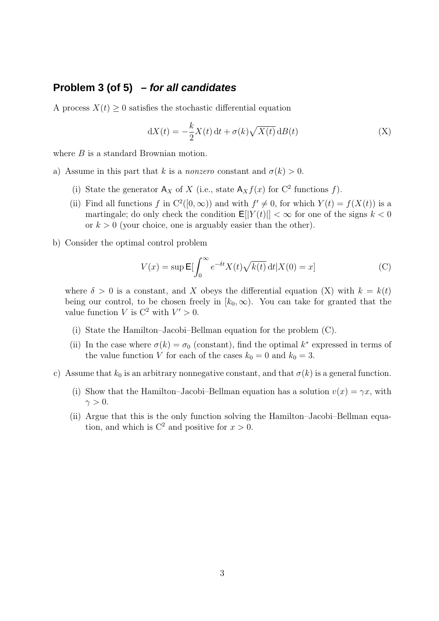#### **Problem 3 (of 5) – for all candidates**

A process  $X(t) \geq 0$  satisfies the stochastic differential equation

$$
dX(t) = -\frac{k}{2}X(t) dt + \sigma(k)\sqrt{X(t)} dB(t)
$$
 (X)

where B is a standard Brownian motion.

- a) Assume in this part that k is a nonzero constant and  $\sigma(k) > 0$ .
	- (i) State the generator  $A_X$  of X (i.e., state  $A_X f(x)$  for  $C^2$  functions f).
	- (ii) Find all functions f in  $C^2([0,\infty))$  and with  $f' \neq 0$ , for which  $Y(t) = f(X(t))$  is a martingale; do only check the condition  $E[|Y(t)|] < \infty$  for one of the signs  $k < 0$ or  $k > 0$  (your choice, one is arguably easier than the other).
- b) Consider the optimal control problem

$$
V(x) = \sup \mathsf{E} \left[ \int_0^\infty e^{-\delta t} X(t) \sqrt{k(t)} \, \mathrm{d}t |X(0) = x \right] \tag{C}
$$

where  $\delta > 0$  is a constant, and X obeys the differential equation (X) with  $k = k(t)$ being our control, to be chosen freely in  $[k_0,\infty)$ . You can take for granted that the value function V is  $C^2$  with  $V' > 0$ .

- (i) State the Hamilton–Jacobi–Bellman equation for the problem (C).
- (ii) In the case where  $\sigma(k) = \sigma_0$  (constant), find the optimal  $k^*$  expressed in terms of the value function V for each of the cases  $k_0 = 0$  and  $k_0 = 3$ .
- c) Assume that  $k_0$  is an arbitrary nonnegative constant, and that  $\sigma(k)$  is a general function.
	- (i) Show that the Hamilton–Jacobi–Bellman equation has a solution  $v(x) = \gamma x$ , with  $\gamma > 0$ .
	- (ii) Argue that this is the only function solving the Hamilton–Jacobi–Bellman equation, and which is  $C^2$  and positive for  $x > 0$ .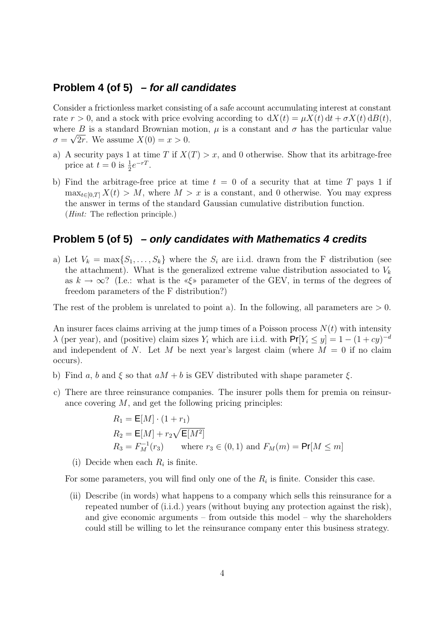#### **Problem 4 (of 5) – for all candidates**

Consider a frictionless market consisting of a safe account accumulating interest at constant rate  $r > 0$ , and a stock with price evolving according to  $dX(t) = \mu X(t) dt + \sigma X(t) dB(t)$ , where  $\overline{B}$  is a standard Brownian motion,  $\mu$  is a constant and  $\sigma$  has the particular value  $\sigma = \sqrt{2r}$ . We assume  $X(0) = x > 0$ .

- a) A security pays 1 at time T if  $X(T) > x$ , and 0 otherwise. Show that its arbitrage-free price at  $t = 0$  is  $\frac{1}{2}e^{-rT}$ .
- b) Find the arbitrage-free price at time  $t = 0$  of a security that at time T pays 1 if  $\max_{t\in[0,T]} X(t) > M$ , where  $M > x$  is a constant, and 0 otherwise. You may express the answer in terms of the standard Gaussian cumulative distribution function. (Hint: The reflection principle.)

#### **Problem 5 (of 5) – only candidates with Mathematics 4 credits**

a) Let  $V_k = \max\{S_1, \ldots, S_k\}$  where the  $S_i$  are i.i.d. drawn from the F distribution (see the attachment). What is the generalized extreme value distribution associated to  $V_k$ as  $k \to \infty$ ? (I.e.: what is the «ξ» parameter of the GEV, in terms of the degrees of freedom parameters of the F distribution?)

The rest of the problem is unrelated to point a). In the following, all parameters are  $> 0$ .

An insurer faces claims arriving at the jump times of a Poisson process  $N(t)$  with intensity  $\lambda$  (per year), and (positive) claim sizes Y<sub>i</sub> which are i.i.d. with  $Pr[Y_i \le y] = 1 - (1 + cy)^{-d}$ and independent of N. Let M be next year's largest claim (where  $M = 0$  if no claim occurs).

- b) Find a, b and  $\xi$  so that  $aM + b$  is GEV distributed with shape parameter  $\xi$ .
- c) There are three reinsurance companies. The insurer polls them for premia on reinsurance covering  $M$ , and get the following pricing principles:

$$
R_1 = \mathbf{E}[M] \cdot (1 + r_1)
$$
  
\n
$$
R_2 = \mathbf{E}[M] + r_2 \sqrt{\mathbf{E}[M^2]}
$$
  
\n
$$
R_3 = F_M^{-1}(r_3) \qquad \text{where } r_3 \in (0, 1) \text{ and } F_M(m) = \mathbf{Pr}[M \le m]
$$

(i) Decide when each  $R_i$  is finite.

For some parameters, you will find only one of the  $R_i$  is finite. Consider this case.

(ii) Describe (in words) what happens to a company which sells this reinsurance for a repeated number of (i.i.d.) years (without buying any protection against the risk), and give economic arguments – from outside this model – why the shareholders could still be willing to let the reinsurance company enter this business strategy.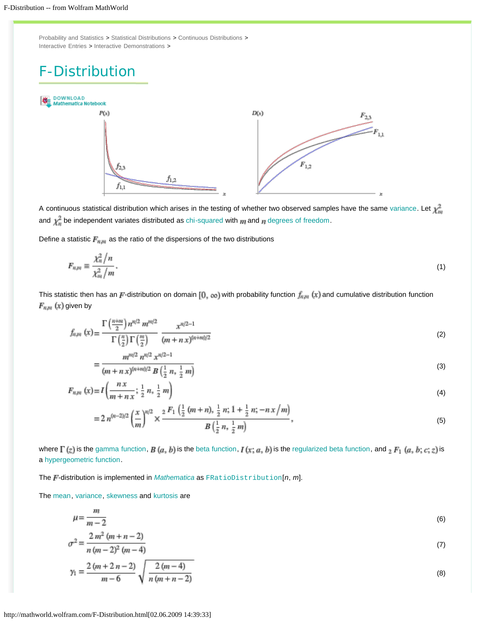<span id="page-6-0"></span>[Probability and Statistics](http://mathworld.wolfram.com/topics/ProbabilityandStatistics.html) > [Statistical Distributions](http://mathworld.wolfram.com/topics/StatisticalDistributions.html) > [Continuous Distributions](http://mathworld.wolfram.com/topics/ContinuousDistributions.html) > [Interactive Entries](http://mathworld.wolfram.com/topics/InteractiveEntries.html) > [Interactive Demonstrations](http://mathworld.wolfram.com/topics/InteractiveDemonstrations.html) >

## F-Distribution



A continuous statistical distribution which arises in the testing of whether two observed samples have the same [variance.](http://mathworld.wolfram.com/Variance.html) Let  $\chi_m^2$ and  $\chi^2_{\overline{n}}$  be independent variates distributed as [chi-squared](http://mathworld.wolfram.com/Chi-SquaredDistribution.html) with  $m$  and  $n$  [degrees of freedom.](http://mathworld.wolfram.com/DegreeofFreedom.html)

Define a statistic  $F_{n,m}$  as the ratio of the dispersions of the two distributions

$$
F_{nm} \equiv \frac{\chi_n^2 / n}{\chi_m^2 / m}.
$$
\n<sup>(1)</sup>

This statistic then has an F-distribution on domain [0, ce] with probability function  $f_{n,m}(x)$  and cumulative distribution function  $F_{n,m}\left( x\right)$  given by

$$
f_{n,m}\left(x\right) = \frac{\Gamma\left(\frac{n+m}{2}\right)n^{n/2}m^{m/2}}{\Gamma\left(\frac{n}{2}\right)\Gamma\left(\frac{m}{2}\right)} \frac{x^{n/2-1}}{(m+n\,x)^{(n+m)/2}}\tag{2}
$$

$$
= \frac{m^{m/2} n^{m/2} x^{m/2 - 1}}{(m + nx)^{(n + m)/2} B\left(\frac{1}{2} n, \frac{1}{2} m\right)}
$$
(3)

$$
F_{n,m}(x) = I\left(\frac{n x}{m + n x}; \frac{1}{2} n, \frac{1}{2} m\right)
$$
\n(4)

$$
= 2 n^{(n-2)/2} \left(\frac{x}{m}\right)^{n/2} \times \frac{2 F_1\left(\frac{1}{2}(m+n), \frac{1}{2}n; 1+\frac{1}{2}n; -nx/m\right)}{B\left(\frac{1}{2}n, \frac{1}{2}m\right)},
$$
(5)

where  $\Gamma(z)$  is the [gamma function](http://mathworld.wolfram.com/GammaFunction.html),  $B(a, b)$  is the [beta function,](http://mathworld.wolfram.com/BetaFunction.html)  $I(x; a, b)$  is the [regularized beta function,](http://mathworld.wolfram.com/RegularizedBetaFunction.html) and  ${}_2F_1(a, b; c; z)$  is a [hypergeometric function.](http://mathworld.wolfram.com/HypergeometricFunction.html)

The F-distribution is implemented in *[Mathematica](http://www.wolfram.com/products/mathematica/)* as [FRatioDistribution](http://reference.wolfram.com/mathematica/ref/FRatioDistribution.html)[n, m].

The [mean,](http://mathworld.wolfram.com/Mean.html) [variance,](http://mathworld.wolfram.com/Variance.html) [skewness](http://mathworld.wolfram.com/Skewness.html) and [kurtosis](http://mathworld.wolfram.com/Kurtosis.html) are

$$
\mu = \frac{m}{m-2} \tag{6}
$$

$$
\sigma^2 = \frac{2m^2(m+n-2)}{n(m-2)^2(m-4)}
$$
(7)

$$
\gamma_1 = \frac{2(m+2n-2)}{m-6} \sqrt{\frac{2(m-4)}{n(m+n-2)}}
$$
\n(8)